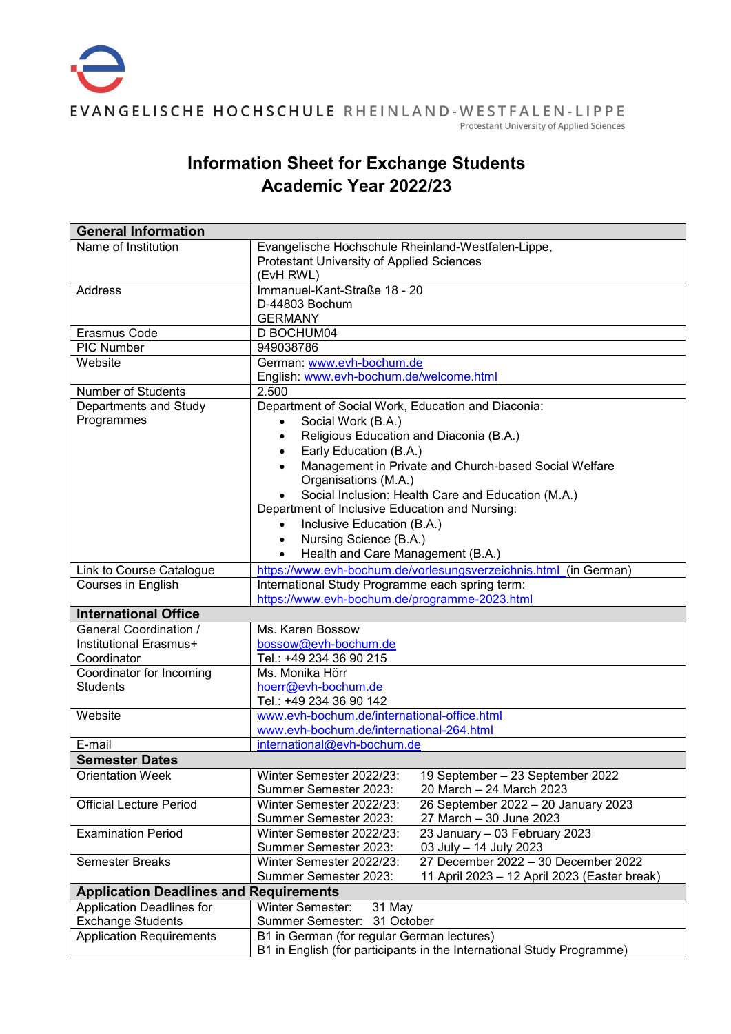## **Information Sheet for Exchange Students Academic Year 2022/23**

| <b>General Information</b>                    |                                                                       |
|-----------------------------------------------|-----------------------------------------------------------------------|
| Name of Institution                           | Evangelische Hochschule Rheinland-Westfalen-Lippe,                    |
|                                               | Protestant University of Applied Sciences                             |
|                                               | (EvH RWL)                                                             |
| <b>Address</b>                                | Immanuel-Kant-Straße 18 - 20                                          |
|                                               | D-44803 Bochum                                                        |
|                                               | <b>GERMANY</b>                                                        |
| Erasmus Code                                  | D BOCHUM04                                                            |
| <b>PIC Number</b>                             | 949038786                                                             |
| Website                                       | German: www.evh-bochum.de                                             |
|                                               | English: www.evh-bochum.de/welcome.html                               |
| <b>Number of Students</b>                     | 2.500                                                                 |
| Departments and Study                         | Department of Social Work, Education and Diaconia:                    |
| Programmes                                    | Social Work (B.A.)<br>$\bullet$                                       |
|                                               | Religious Education and Diaconia (B.A.)<br>$\bullet$                  |
|                                               | Early Education (B.A.)<br>$\bullet$                                   |
|                                               | Management in Private and Church-based Social Welfare<br>$\bullet$    |
|                                               | Organisations (M.A.)                                                  |
|                                               | Social Inclusion: Health Care and Education (M.A.)                    |
|                                               | Department of Inclusive Education and Nursing:                        |
|                                               | Inclusive Education (B.A.)                                            |
|                                               | Nursing Science (B.A.)<br>$\bullet$                                   |
|                                               | Health and Care Management (B.A.)<br>$\bullet$                        |
| Link to Course Catalogue                      | https://www.evh-bochum.de/vorlesungsverzeichnis.html (in German)      |
| Courses in English                            | International Study Programme each spring term:                       |
|                                               | https://www.evh-bochum.de/programme-2023.html                         |
| <b>International Office</b>                   |                                                                       |
| General Coordination /                        | Ms. Karen Bossow                                                      |
| Institutional Erasmus+                        | bossow@evh-bochum.de                                                  |
| Coordinator                                   | Tel.: +49 234 36 90 215                                               |
| Coordinator for Incoming                      | Ms. Monika Hörr                                                       |
| <b>Students</b>                               | hoerr@evh-bochum.de                                                   |
|                                               | Tel.: +49 234 36 90 142                                               |
| Website                                       | www.evh-bochum.de/international-office.html                           |
|                                               | www.evh-bochum.de/international-264.html                              |
| E-mail                                        | international@evh-bochum.de                                           |
| <b>Semester Dates</b>                         |                                                                       |
| <b>Orientation Week</b>                       | Winter Semester 2022/23:<br>19 September - 23 September 2022          |
|                                               | Summer Semester 2023:<br>20 March - 24 March 2023                     |
| <b>Official Lecture Period</b>                | 26 September 2022 - 20 January 2023<br>Winter Semester 2022/23:       |
|                                               | Summer Semester 2023:<br>27 March - 30 June 2023                      |
| <b>Examination Period</b>                     | Winter Semester 2022/23:<br>23 January - 03 February 2023             |
|                                               | Summer Semester 2023:<br>03 July - 14 July 2023                       |
| <b>Semester Breaks</b>                        | 27 December 2022 - 30 December 2022<br>Winter Semester 2022/23:       |
|                                               | Summer Semester 2023:<br>11 April 2023 - 12 April 2023 (Easter break) |
| <b>Application Deadlines and Requirements</b> |                                                                       |
| <b>Application Deadlines for</b>              | <b>Winter Semester:</b><br>31 May                                     |
| <b>Exchange Students</b>                      | Summer Semester: 31 October                                           |
| <b>Application Requirements</b>               | B1 in German (for regular German lectures)                            |
|                                               | B1 in English (for participants in the International Study Programme) |